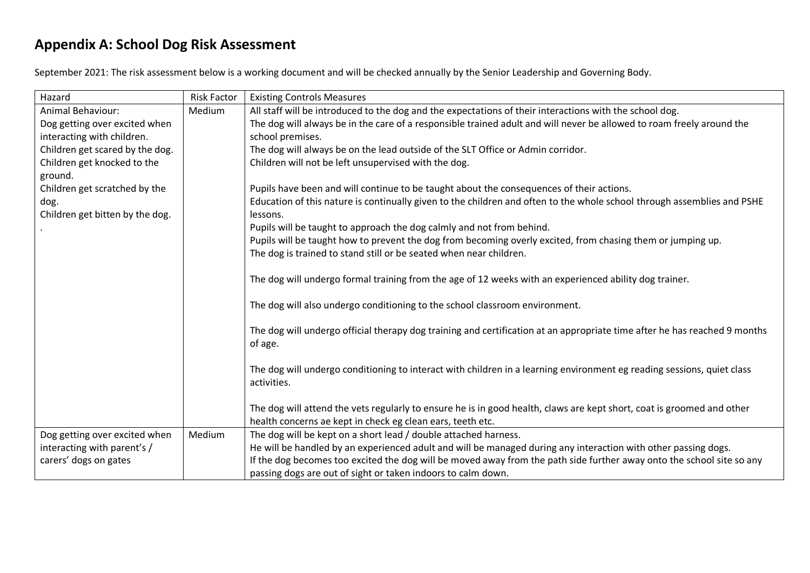## **Appendix A: School Dog Risk Assessment**

September 2021: The risk assessment below is a working document and will be checked annually by the Senior Leadership and Governing Body.

| Hazard                          | <b>Risk Factor</b> | <b>Existing Controls Measures</b>                                                                                         |
|---------------------------------|--------------------|---------------------------------------------------------------------------------------------------------------------------|
| <b>Animal Behaviour:</b>        | Medium             | All staff will be introduced to the dog and the expectations of their interactions with the school dog.                   |
| Dog getting over excited when   |                    | The dog will always be in the care of a responsible trained adult and will never be allowed to roam freely around the     |
| interacting with children.      |                    | school premises.                                                                                                          |
| Children get scared by the dog. |                    | The dog will always be on the lead outside of the SLT Office or Admin corridor.                                           |
| Children get knocked to the     |                    | Children will not be left unsupervised with the dog.                                                                      |
| ground.                         |                    |                                                                                                                           |
| Children get scratched by the   |                    | Pupils have been and will continue to be taught about the consequences of their actions.                                  |
| dog.                            |                    | Education of this nature is continually given to the children and often to the whole school through assemblies and PSHE   |
| Children get bitten by the dog. |                    | lessons.                                                                                                                  |
|                                 |                    | Pupils will be taught to approach the dog calmly and not from behind.                                                     |
|                                 |                    | Pupils will be taught how to prevent the dog from becoming overly excited, from chasing them or jumping up.               |
|                                 |                    | The dog is trained to stand still or be seated when near children.                                                        |
|                                 |                    |                                                                                                                           |
|                                 |                    | The dog will undergo formal training from the age of 12 weeks with an experienced ability dog trainer.                    |
|                                 |                    |                                                                                                                           |
|                                 |                    | The dog will also undergo conditioning to the school classroom environment.                                               |
|                                 |                    |                                                                                                                           |
|                                 |                    | The dog will undergo official therapy dog training and certification at an appropriate time after he has reached 9 months |
|                                 |                    | of age.                                                                                                                   |
|                                 |                    |                                                                                                                           |
|                                 |                    | The dog will undergo conditioning to interact with children in a learning environment eg reading sessions, quiet class    |
|                                 |                    | activities.                                                                                                               |
|                                 |                    |                                                                                                                           |
|                                 |                    | The dog will attend the vets regularly to ensure he is in good health, claws are kept short, coat is groomed and other    |
|                                 |                    | health concerns ae kept in check eg clean ears, teeth etc.                                                                |
| Dog getting over excited when   | Medium             | The dog will be kept on a short lead / double attached harness.                                                           |
| interacting with parent's /     |                    | He will be handled by an experienced adult and will be managed during any interaction with other passing dogs.            |
| carers' dogs on gates           |                    | If the dog becomes too excited the dog will be moved away from the path side further away onto the school site so any     |
|                                 |                    | passing dogs are out of sight or taken indoors to calm down.                                                              |